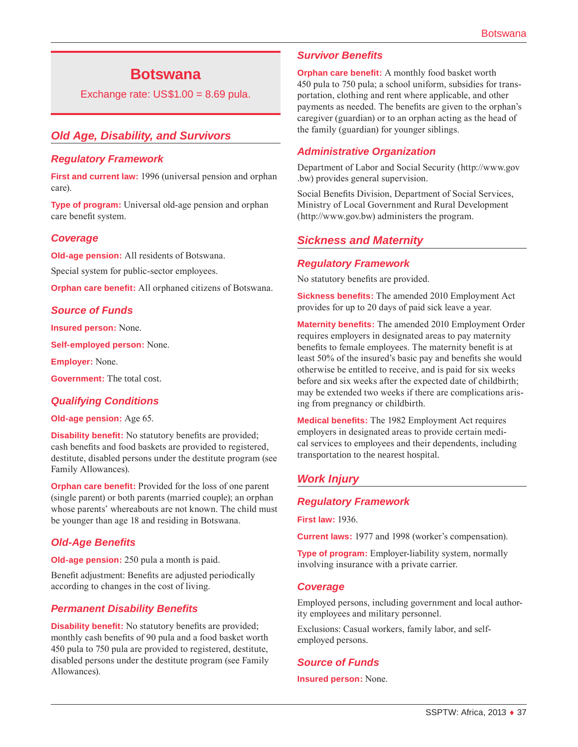# **Botswana**

Exchange rate:  $US$1.00 = 8.69$  pula.

# *Old Age, Disability, and Survivors*

### *Regulatory Framework*

**First and current law:** 1996 (universal pension and orphan care).

**Type of program:** Universal old-age pension and orphan care benefit system.

### *Coverage*

**Old-age pension:** All residents of Botswana.

Special system for public-sector employees.

**Orphan care benefit:** All orphaned citizens of Botswana.

### *Source of Funds*

**Insured person:** None.

**Self-employed person:** None.

**Employer:** None.

**Government:** The total cost.

### *Qualifying Conditions*

**Old-age pension:** Age 65.

**Disability benefit:** No statutory benefits are provided; cash benefits and food baskets are provided to registered, destitute, disabled persons under the destitute program (see Family Allowances).

**Orphan care benefit:** Provided for the loss of one parent (single parent) or both parents (married couple); an orphan whose parents' whereabouts are not known. The child must be younger than age 18 and residing in Botswana.

### *Old-Age Benefits*

**Old-age pension:** 250 pula a month is paid.

Benefit adjustment: Benefits are adjusted periodically according to changes in the cost of living.

### *Permanent Disability Benefits*

**Disability benefit:** No statutory benefits are provided; monthly cash benefits of 90 pula and a food basket worth 450 pula to 750 pula are provided to registered, destitute, disabled persons under the destitute program (see Family Allowances).

### *Survivor Benefits*

**Orphan care benefit:** A monthly food basket worth 450 pula to 750 pula; a school uniform, subsidies for transportation, clothing and rent where applicable, and other payments as needed. The benefits are given to the orphan's caregiver (guardian) or to an orphan acting as the head of the family (guardian) for younger siblings.

### *Administrative Organization*

Department of Labor and Social Security [\(http://www.gov](http://www.gov.bw) [.bw](http://www.gov.bw)) provides general supervision.

Social Benefits Division, Department of Social Services, Ministry of Local Government and Rural Development (<http://www.gov.bw>) administers the program.

### *Sickness and Maternity*

#### *Regulatory Framework*

No statutory benefits are provided.

**Sickness benefits:** The amended 2010 Employment Act provides for up to 20 days of paid sick leave a year.

**Maternity benefits:** The amended 2010 Employment Order requires employers in designated areas to pay maternity benefits to female employees. The maternity benefit is at least 50% of the insured's basic pay and benefits she would otherwise be entitled to receive, and is paid for six weeks before and six weeks after the expected date of childbirth; may be extended two weeks if there are complications arising from pregnancy or childbirth.

**Medical benefits:** The 1982 Employment Act requires employers in designated areas to provide certain medical services to employees and their dependents, including transportation to the nearest hospital.

# *Work Injury*

### *Regulatory Framework*

**First law:** 1936.

**Current laws:** 1977 and 1998 (worker's compensation).

**Type of program:** Employer-liability system, normally involving insurance with a private carrier.

#### *Coverage*

Employed persons, including government and local authority employees and military personnel.

Exclusions: Casual workers, family labor, and selfemployed persons.

### *Source of Funds*

**Insured person:** None.